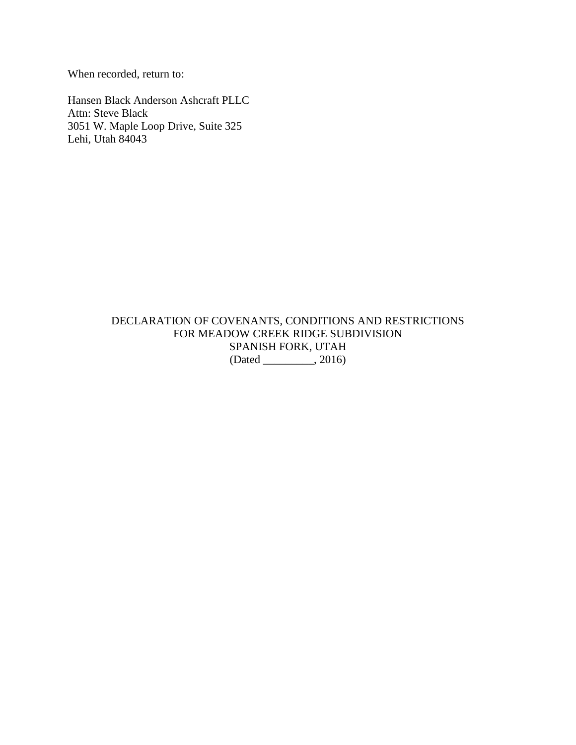When recorded, return to:

Hansen Black Anderson Ashcraft PLLC Attn: Steve Black 3051 W. Maple Loop Drive, Suite 325 Lehi, Utah 84043

> DECLARATION OF COVENANTS, CONDITIONS AND RESTRICTIONS FOR MEADOW CREEK RIDGE SUBDIVISION SPANISH FORK, UTAH (Dated \_\_\_\_\_\_\_\_\_, 2016)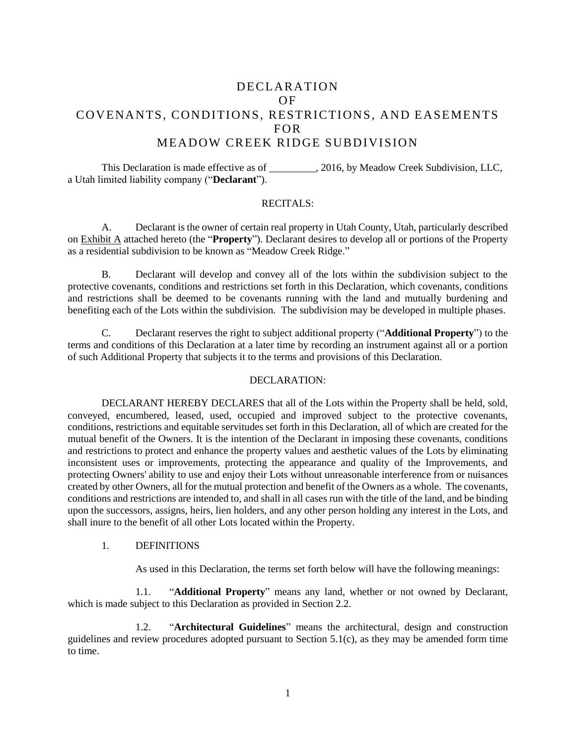# DECLARATION OF COVENANTS, CONDITIONS, RESTRICTIONS, AND EASEMENTS FOR MEADOW CREEK RIDGE SUBDIVISION

This Declaration is made effective as of \_\_\_\_\_\_\_\_\_, 2016, by Meadow Creek Subdivision, LLC, a Utah limited liability company ("**Declarant**").

### RECITALS:

A. Declarant is the owner of certain real property in Utah County, Utah, particularly described on Exhibit A attached hereto (the "**Property**"). Declarant desires to develop all or portions of the Property as a residential subdivision to be known as "Meadow Creek Ridge."

B. Declarant will develop and convey all of the lots within the subdivision subject to the protective covenants, conditions and restrictions set forth in this Declaration, which covenants, conditions and restrictions shall be deemed to be covenants running with the land and mutually burdening and benefiting each of the Lots within the subdivision. The subdivision may be developed in multiple phases.

C. Declarant reserves the right to subject additional property ("**Additional Property**") to the terms and conditions of this Declaration at a later time by recording an instrument against all or a portion of such Additional Property that subjects it to the terms and provisions of this Declaration.

#### DECLARATION:

DECLARANT HEREBY DECLARES that all of the Lots within the Property shall be held, sold, conveyed, encumbered, leased, used, occupied and improved subject to the protective covenants, conditions, restrictions and equitable servitudes set forth in this Declaration, all of which are created for the mutual benefit of the Owners. It is the intention of the Declarant in imposing these covenants, conditions and restrictions to protect and enhance the property values and aesthetic values of the Lots by eliminating inconsistent uses or improvements, protecting the appearance and quality of the Improvements, and protecting Owners' ability to use and enjoy their Lots without unreasonable interference from or nuisances created by other Owners, all for the mutual protection and benefit of the Owners as a whole. The covenants, conditions and restrictions are intended to, and shall in all cases run with the title of the land, and be binding upon the successors, assigns, heirs, lien holders, and any other person holding any interest in the Lots, and shall inure to the benefit of all other Lots located within the Property.

### 1. DEFINITIONS

As used in this Declaration, the terms set forth below will have the following meanings:

1.1. "**Additional Property**" means any land, whether or not owned by Declarant, which is made subject to this Declaration as provided in Section 2.2.

1.2. "**Architectural Guidelines**" means the architectural, design and construction guidelines and review procedures adopted pursuant to Section [5.1\(c\),](#page-5-0) as they may be amended form time to time.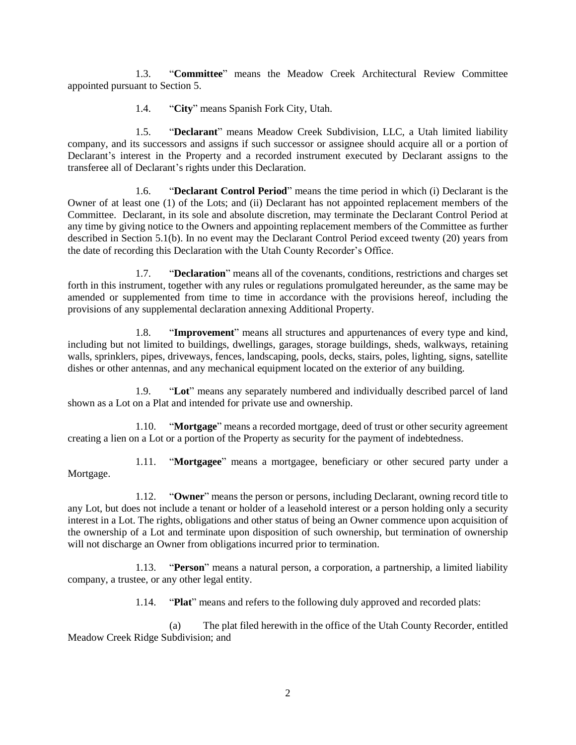1.3. "**Committee**" means the Meadow Creek Architectural Review Committee appointed pursuant to Section [5.](#page-5-1)

1.4. "**City**" means Spanish Fork City, Utah.

1.5. "**Declarant**" means Meadow Creek Subdivision, LLC, a Utah limited liability company, and its successors and assigns if such successor or assignee should acquire all or a portion of Declarant's interest in the Property and a recorded instrument executed by Declarant assigns to the transferee all of Declarant's rights under this Declaration.

1.6. "**Declarant Control Period**" means the time period in which (i) Declarant is the Owner of at least one (1) of the Lots; and (ii) Declarant has not appointed replacement members of the Committee. Declarant, in its sole and absolute discretion, may terminate the Declarant Control Period at any time by giving notice to the Owners and appointing replacement members of the Committee as further described in Section [5.1\(b\).](#page-5-2) In no event may the Declarant Control Period exceed twenty (20) years from the date of recording this Declaration with the Utah County Recorder's Office.

1.7. "**Declaration**" means all of the covenants, conditions, restrictions and charges set forth in this instrument, together with any rules or regulations promulgated hereunder, as the same may be amended or supplemented from time to time in accordance with the provisions hereof, including the provisions of any supplemental declaration annexing Additional Property.

1.8. "**Improvement**" means all structures and appurtenances of every type and kind, including but not limited to buildings, dwellings, garages, storage buildings, sheds, walkways, retaining walls, sprinklers, pipes, driveways, fences, landscaping, pools, decks, stairs, poles, lighting, signs, satellite dishes or other antennas, and any mechanical equipment located on the exterior of any building.

1.9. "**Lot**" means any separately numbered and individually described parcel of land shown as a Lot on a Plat and intended for private use and ownership.

1.10. "**Mortgage**" means a recorded mortgage, deed of trust or other security agreement creating a lien on a Lot or a portion of the Property as security for the payment of indebtedness.

1.11. "**Mortgagee**" means a mortgagee, beneficiary or other secured party under a Mortgage.

1.12. "**Owner**" means the person or persons, including Declarant, owning record title to any Lot, but does not include a tenant or holder of a leasehold interest or a person holding only a security interest in a Lot. The rights, obligations and other status of being an Owner commence upon acquisition of the ownership of a Lot and terminate upon disposition of such ownership, but termination of ownership will not discharge an Owner from obligations incurred prior to termination.

1.13. "**Person**" means a natural person, a corporation, a partnership, a limited liability company, a trustee, or any other legal entity.

1.14. "**Plat**" means and refers to the following duly approved and recorded plats:

(a) The plat filed herewith in the office of the Utah County Recorder, entitled Meadow Creek Ridge Subdivision; and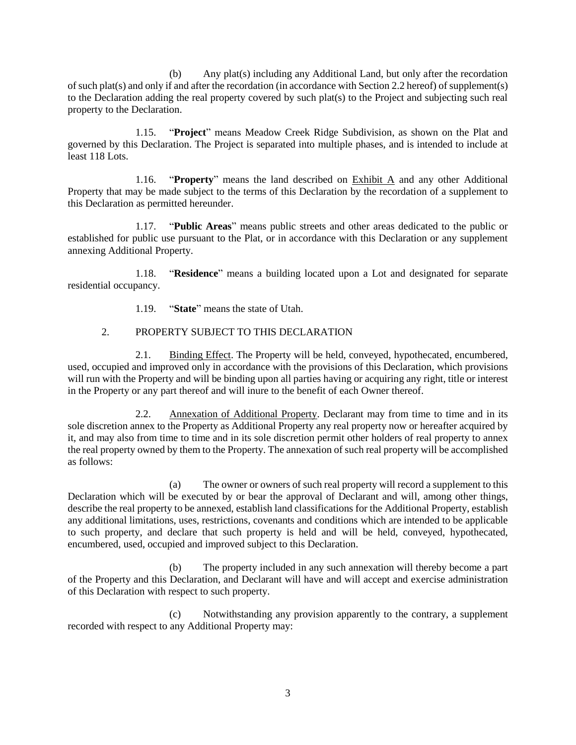(b) Any plat(s) including any Additional Land, but only after the recordation of such plat(s) and only if and after the recordation (in accordance with Sectio[n 2.2](#page-3-0) hereof) of supplement(s) to the Declaration adding the real property covered by such plat(s) to the Project and subjecting such real property to the Declaration.

1.15. "**Project**" means Meadow Creek Ridge Subdivision, as shown on the Plat and governed by this Declaration. The Project is separated into multiple phases, and is intended to include at least 118 Lots.

1.16. "**Property**" means the land described on Exhibit A and any other Additional Property that may be made subject to the terms of this Declaration by the recordation of a supplement to this Declaration as permitted hereunder.

1.17. "**Public Areas**" means public streets and other areas dedicated to the public or established for public use pursuant to the Plat, or in accordance with this Declaration or any supplement annexing Additional Property.

1.18. "**Residence**" means a building located upon a Lot and designated for separate residential occupancy.

1.19. "**State**" means the state of Utah.

### 2. PROPERTY SUBJECT TO THIS DECLARATION

2.1. Binding Effect. The Property will be held, conveyed, hypothecated, encumbered, used, occupied and improved only in accordance with the provisions of this Declaration, which provisions will run with the Property and will be binding upon all parties having or acquiring any right, title or interest in the Property or any part thereof and will inure to the benefit of each Owner thereof.

<span id="page-3-0"></span>2.2. Annexation of Additional Property. Declarant may from time to time and in its sole discretion annex to the Property as Additional Property any real property now or hereafter acquired by it, and may also from time to time and in its sole discretion permit other holders of real property to annex the real property owned by them to the Property. The annexation of such real property will be accomplished as follows:

(a) The owner or owners of such real property will record a supplement to this Declaration which will be executed by or bear the approval of Declarant and will, among other things, describe the real property to be annexed, establish land classifications for the Additional Property, establish any additional limitations, uses, restrictions, covenants and conditions which are intended to be applicable to such property, and declare that such property is held and will be held, conveyed, hypothecated, encumbered, used, occupied and improved subject to this Declaration.

(b) The property included in any such annexation will thereby become a part of the Property and this Declaration, and Declarant will have and will accept and exercise administration of this Declaration with respect to such property.

(c) Notwithstanding any provision apparently to the contrary, a supplement recorded with respect to any Additional Property may: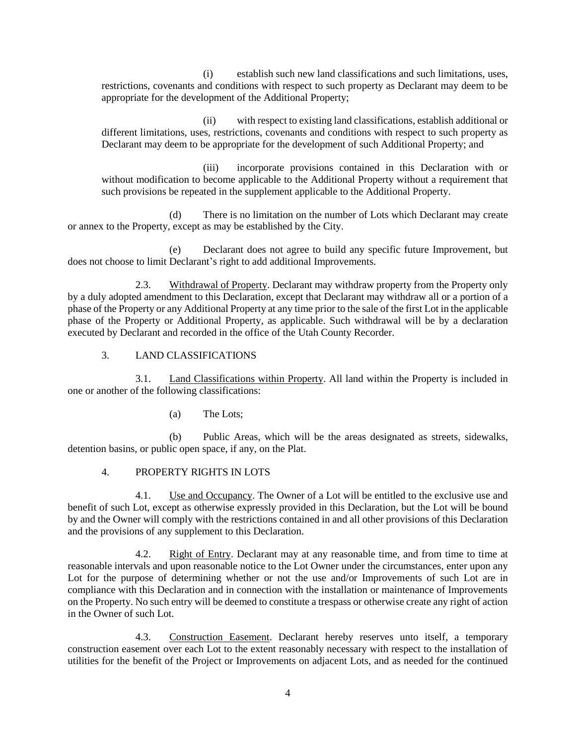(i) establish such new land classifications and such limitations, uses, restrictions, covenants and conditions with respect to such property as Declarant may deem to be appropriate for the development of the Additional Property;

(ii) with respect to existing land classifications, establish additional or different limitations, uses, restrictions, covenants and conditions with respect to such property as Declarant may deem to be appropriate for the development of such Additional Property; and

(iii) incorporate provisions contained in this Declaration with or without modification to become applicable to the Additional Property without a requirement that such provisions be repeated in the supplement applicable to the Additional Property.

(d) There is no limitation on the number of Lots which Declarant may create or annex to the Property, except as may be established by the City.

(e) Declarant does not agree to build any specific future Improvement, but does not choose to limit Declarant's right to add additional Improvements.

2.3. Withdrawal of Property. Declarant may withdraw property from the Property only by a duly adopted amendment to this Declaration, except that Declarant may withdraw all or a portion of a phase of the Property or any Additional Property at any time prior to the sale of the first Lot in the applicable phase of the Property or Additional Property, as applicable. Such withdrawal will be by a declaration executed by Declarant and recorded in the office of the Utah County Recorder.

3. LAND CLASSIFICATIONS

3.1. Land Classifications within Property. All land within the Property is included in one or another of the following classifications:

(a) The Lots;

(b) Public Areas, which will be the areas designated as streets, sidewalks, detention basins, or public open space, if any, on the Plat.

### 4. PROPERTY RIGHTS IN LOTS

4.1. Use and Occupancy. The Owner of a Lot will be entitled to the exclusive use and benefit of such Lot, except as otherwise expressly provided in this Declaration, but the Lot will be bound by and the Owner will comply with the restrictions contained in and all other provisions of this Declaration and the provisions of any supplement to this Declaration.

4.2. Right of Entry. Declarant may at any reasonable time, and from time to time at reasonable intervals and upon reasonable notice to the Lot Owner under the circumstances, enter upon any Lot for the purpose of determining whether or not the use and/or Improvements of such Lot are in compliance with this Declaration and in connection with the installation or maintenance of Improvements on the Property. No such entry will be deemed to constitute a trespass or otherwise create any right of action in the Owner of such Lot.

4.3. Construction Easement. Declarant hereby reserves unto itself, a temporary construction easement over each Lot to the extent reasonably necessary with respect to the installation of utilities for the benefit of the Project or Improvements on adjacent Lots, and as needed for the continued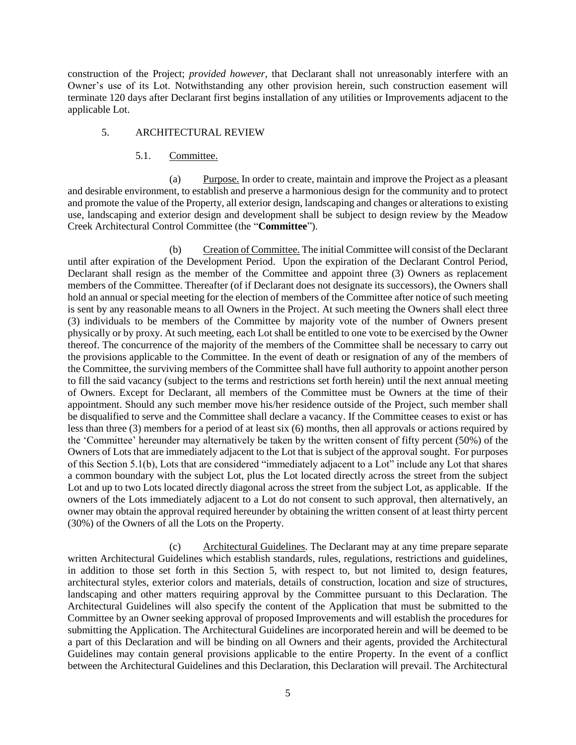construction of the Project; *provided however*, that Declarant shall not unreasonably interfere with an Owner's use of its Lot. Notwithstanding any other provision herein, such construction easement will terminate 120 days after Declarant first begins installation of any utilities or Improvements adjacent to the applicable Lot.

### <span id="page-5-1"></span>5. ARCHITECTURAL REVIEW

#### 5.1. Committee.

(a) Purpose. In order to create, maintain and improve the Project as a pleasant and desirable environment, to establish and preserve a harmonious design for the community and to protect and promote the value of the Property, all exterior design, landscaping and changes or alterations to existing use, landscaping and exterior design and development shall be subject to design review by the Meadow Creek Architectural Control Committee (the "**Committee**").

<span id="page-5-2"></span>(b) Creation of Committee. The initial Committee will consist of the Declarant until after expiration of the Development Period. Upon the expiration of the Declarant Control Period, Declarant shall resign as the member of the Committee and appoint three (3) Owners as replacement members of the Committee. Thereafter (of if Declarant does not designate its successors), the Owners shall hold an annual or special meeting for the election of members of the Committee after notice of such meeting is sent by any reasonable means to all Owners in the Project. At such meeting the Owners shall elect three (3) individuals to be members of the Committee by majority vote of the number of Owners present physically or by proxy. At such meeting, each Lot shall be entitled to one vote to be exercised by the Owner thereof. The concurrence of the majority of the members of the Committee shall be necessary to carry out the provisions applicable to the Committee. In the event of death or resignation of any of the members of the Committee, the surviving members of the Committee shall have full authority to appoint another person to fill the said vacancy (subject to the terms and restrictions set forth herein) until the next annual meeting of Owners. Except for Declarant, all members of the Committee must be Owners at the time of their appointment. Should any such member move his/her residence outside of the Project, such member shall be disqualified to serve and the Committee shall declare a vacancy. If the Committee ceases to exist or has less than three (3) members for a period of at least six (6) months, then all approvals or actions required by the 'Committee' hereunder may alternatively be taken by the written consent of fifty percent (50%) of the Owners of Lots that are immediately adjacent to the Lot that is subject of the approval sought. For purposes of this Section 5.1(b), Lots that are considered "immediately adjacent to a Lot" include any Lot that shares a common boundary with the subject Lot, plus the Lot located directly across the street from the subject Lot and up to two Lots located directly diagonal across the street from the subject Lot, as applicable. If the owners of the Lots immediately adjacent to a Lot do not consent to such approval, then alternatively, an owner may obtain the approval required hereunder by obtaining the written consent of at least thirty percent (30%) of the Owners of all the Lots on the Property.

<span id="page-5-0"></span>(c) Architectural Guidelines. The Declarant may at any time prepare separate written Architectural Guidelines which establish standards, rules, regulations, restrictions and guidelines, in addition to those set forth in this Section [5,](#page-5-1) with respect to, but not limited to, design features, architectural styles, exterior colors and materials, details of construction, location and size of structures, landscaping and other matters requiring approval by the Committee pursuant to this Declaration. The Architectural Guidelines will also specify the content of the Application that must be submitted to the Committee by an Owner seeking approval of proposed Improvements and will establish the procedures for submitting the Application. The Architectural Guidelines are incorporated herein and will be deemed to be a part of this Declaration and will be binding on all Owners and their agents, provided the Architectural Guidelines may contain general provisions applicable to the entire Property. In the event of a conflict between the Architectural Guidelines and this Declaration, this Declaration will prevail. The Architectural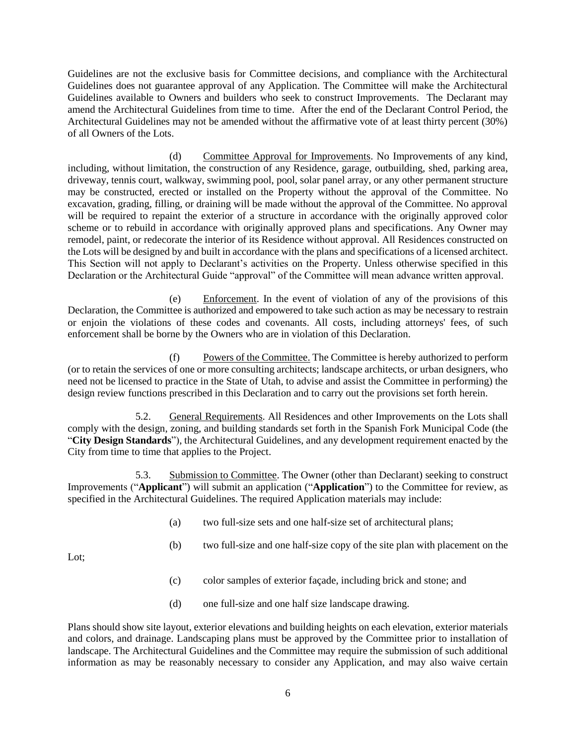Guidelines are not the exclusive basis for Committee decisions, and compliance with the Architectural Guidelines does not guarantee approval of any Application. The Committee will make the Architectural Guidelines available to Owners and builders who seek to construct Improvements. The Declarant may amend the Architectural Guidelines from time to time. After the end of the Declarant Control Period, the Architectural Guidelines may not be amended without the affirmative vote of at least thirty percent (30%) of all Owners of the Lots.

(d) Committee Approval for Improvements. No Improvements of any kind, including, without limitation, the construction of any Residence, garage, outbuilding, shed, parking area, driveway, tennis court, walkway, swimming pool, pool, solar panel array, or any other permanent structure may be constructed, erected or installed on the Property without the approval of the Committee. No excavation, grading, filling, or draining will be made without the approval of the Committee. No approval will be required to repaint the exterior of a structure in accordance with the originally approved color scheme or to rebuild in accordance with originally approved plans and specifications. Any Owner may remodel, paint, or redecorate the interior of its Residence without approval. All Residences constructed on the Lots will be designed by and built in accordance with the plans and specifications of a licensed architect. This Section will not apply to Declarant's activities on the Property. Unless otherwise specified in this Declaration or the Architectural Guide "approval" of the Committee will mean advance written approval.

(e) Enforcement. In the event of violation of any of the provisions of this Declaration, the Committee is authorized and empowered to take such action as may be necessary to restrain or enjoin the violations of these codes and covenants. All costs, including attorneys' fees, of such enforcement shall be borne by the Owners who are in violation of this Declaration.

(f) Powers of the Committee. The Committee is hereby authorized to perform (or to retain the services of one or more consulting architects; landscape architects, or urban designers, who need not be licensed to practice in the State of Utah, to advise and assist the Committee in performing) the design review functions prescribed in this Declaration and to carry out the provisions set forth herein.

5.2. General Requirements. All Residences and other Improvements on the Lots shall comply with the design, zoning, and building standards set forth in the Spanish Fork Municipal Code (the "**City Design Standards**"), the Architectural Guidelines, and any development requirement enacted by the City from time to time that applies to the Project.

5.3. Submission to Committee. The Owner (other than Declarant) seeking to construct Improvements ("**Applicant**") will submit an application ("**Application**") to the Committee for review, as specified in the Architectural Guidelines. The required Application materials may include:

- (a) two full-size sets and one half-size set of architectural plans;
- (b) two full-size and one half-size copy of the site plan with placement on the

Lot;

- (c) color samples of exterior façade, including brick and stone; and
- (d) one full-size and one half size landscape drawing.

Plans should show site layout, exterior elevations and building heights on each elevation, exterior materials and colors, and drainage. Landscaping plans must be approved by the Committee prior to installation of landscape. The Architectural Guidelines and the Committee may require the submission of such additional information as may be reasonably necessary to consider any Application, and may also waive certain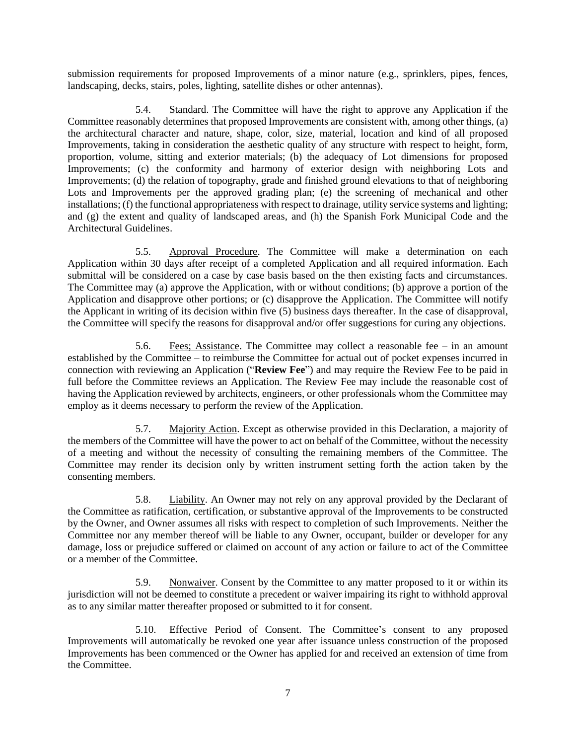submission requirements for proposed Improvements of a minor nature (e.g., sprinklers, pipes, fences, landscaping, decks, stairs, poles, lighting, satellite dishes or other antennas).

5.4. Standard. The Committee will have the right to approve any Application if the Committee reasonably determines that proposed Improvements are consistent with, among other things, (a) the architectural character and nature, shape, color, size, material, location and kind of all proposed Improvements, taking in consideration the aesthetic quality of any structure with respect to height, form, proportion, volume, sitting and exterior materials; (b) the adequacy of Lot dimensions for proposed Improvements; (c) the conformity and harmony of exterior design with neighboring Lots and Improvements; (d) the relation of topography, grade and finished ground elevations to that of neighboring Lots and Improvements per the approved grading plan; (e) the screening of mechanical and other installations; (f) the functional appropriateness with respect to drainage, utility service systems and lighting; and (g) the extent and quality of landscaped areas, and (h) the Spanish Fork Municipal Code and the Architectural Guidelines.

5.5. Approval Procedure. The Committee will make a determination on each Application within 30 days after receipt of a completed Application and all required information. Each submittal will be considered on a case by case basis based on the then existing facts and circumstances. The Committee may (a) approve the Application, with or without conditions; (b) approve a portion of the Application and disapprove other portions; or (c) disapprove the Application. The Committee will notify the Applicant in writing of its decision within five (5) business days thereafter. In the case of disapproval, the Committee will specify the reasons for disapproval and/or offer suggestions for curing any objections.

5.6. Fees; Assistance. The Committee may collect a reasonable fee – in an amount established by the Committee – to reimburse the Committee for actual out of pocket expenses incurred in connection with reviewing an Application ("**Review Fee**") and may require the Review Fee to be paid in full before the Committee reviews an Application. The Review Fee may include the reasonable cost of having the Application reviewed by architects, engineers, or other professionals whom the Committee may employ as it deems necessary to perform the review of the Application.

5.7. Majority Action. Except as otherwise provided in this Declaration, a majority of the members of the Committee will have the power to act on behalf of the Committee, without the necessity of a meeting and without the necessity of consulting the remaining members of the Committee. The Committee may render its decision only by written instrument setting forth the action taken by the consenting members.

5.8. Liability. An Owner may not rely on any approval provided by the Declarant of the Committee as ratification, certification, or substantive approval of the Improvements to be constructed by the Owner, and Owner assumes all risks with respect to completion of such Improvements. Neither the Committee nor any member thereof will be liable to any Owner, occupant, builder or developer for any damage, loss or prejudice suffered or claimed on account of any action or failure to act of the Committee or a member of the Committee.

5.9. Nonwaiver. Consent by the Committee to any matter proposed to it or within its jurisdiction will not be deemed to constitute a precedent or waiver impairing its right to withhold approval as to any similar matter thereafter proposed or submitted to it for consent.

5.10. Effective Period of Consent. The Committee's consent to any proposed Improvements will automatically be revoked one year after issuance unless construction of the proposed Improvements has been commenced or the Owner has applied for and received an extension of time from the Committee.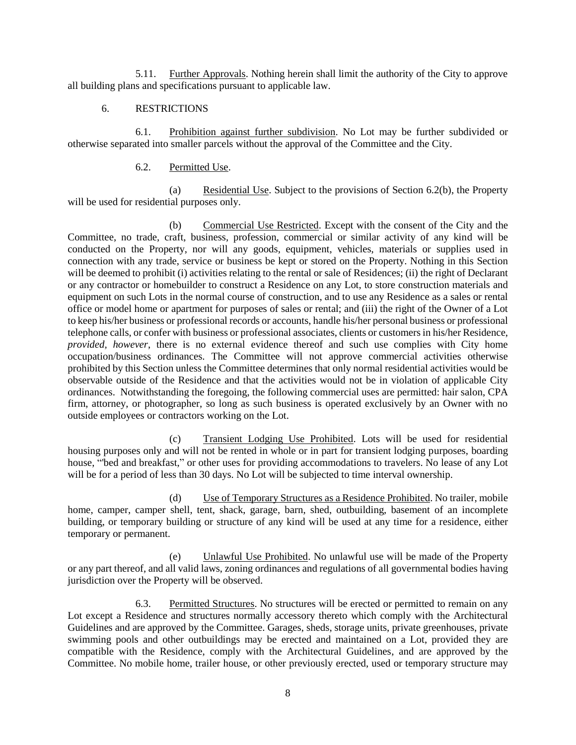5.11. Further Approvals. Nothing herein shall limit the authority of the City to approve all building plans and specifications pursuant to applicable law.

### 6. RESTRICTIONS

<span id="page-8-1"></span>6.1. Prohibition against further subdivision. No Lot may be further subdivided or otherwise separated into smaller parcels without the approval of the Committee and the City.

### 6.2. Permitted Use.

(a) Residential Use. Subject to the provisions of Section [6.2\(b\),](#page-8-0) the Property will be used for residential purposes only.

<span id="page-8-0"></span>(b) Commercial Use Restricted. Except with the consent of the City and the Committee, no trade, craft, business, profession, commercial or similar activity of any kind will be conducted on the Property, nor will any goods, equipment, vehicles, materials or supplies used in connection with any trade, service or business be kept or stored on the Property. Nothing in this Section will be deemed to prohibit (i) activities relating to the rental or sale of Residences; (ii) the right of Declarant or any contractor or homebuilder to construct a Residence on any Lot, to store construction materials and equipment on such Lots in the normal course of construction, and to use any Residence as a sales or rental office or model home or apartment for purposes of sales or rental; and (iii) the right of the Owner of a Lot to keep his/her business or professional records or accounts, handle his/her personal business or professional telephone calls, or confer with business or professional associates, clients or customers in his/her Residence, *provided, however*, there is no external evidence thereof and such use complies with City home occupation/business ordinances. The Committee will not approve commercial activities otherwise prohibited by this Section unless the Committee determines that only normal residential activities would be observable outside of the Residence and that the activities would not be in violation of applicable City ordinances. Notwithstanding the foregoing, the following commercial uses are permitted: hair salon, CPA firm, attorney, or photographer, so long as such business is operated exclusively by an Owner with no outside employees or contractors working on the Lot.

(c) Transient Lodging Use Prohibited. Lots will be used for residential housing purposes only and will not be rented in whole or in part for transient lodging purposes, boarding house, "'bed and breakfast," or other uses for providing accommodations to travelers. No lease of any Lot will be for a period of less than 30 days. No Lot will be subjected to time interval ownership.

(d) Use of Temporary Structures as a Residence Prohibited. No trailer, mobile home, camper, camper shell, tent, shack, garage, barn, shed, outbuilding, basement of an incomplete building, or temporary building or structure of any kind will be used at any time for a residence, either temporary or permanent.

(e) Unlawful Use Prohibited. No unlawful use will be made of the Property or any part thereof, and all valid laws, zoning ordinances and regulations of all governmental bodies having jurisdiction over the Property will be observed.

6.3. Permitted Structures. No structures will be erected or permitted to remain on any Lot except a Residence and structures normally accessory thereto which comply with the Architectural Guidelines and are approved by the Committee. Garages, sheds, storage units, private greenhouses, private swimming pools and other outbuildings may be erected and maintained on a Lot, provided they are compatible with the Residence, comply with the Architectural Guidelines, and are approved by the Committee. No mobile home, trailer house, or other previously erected, used or temporary structure may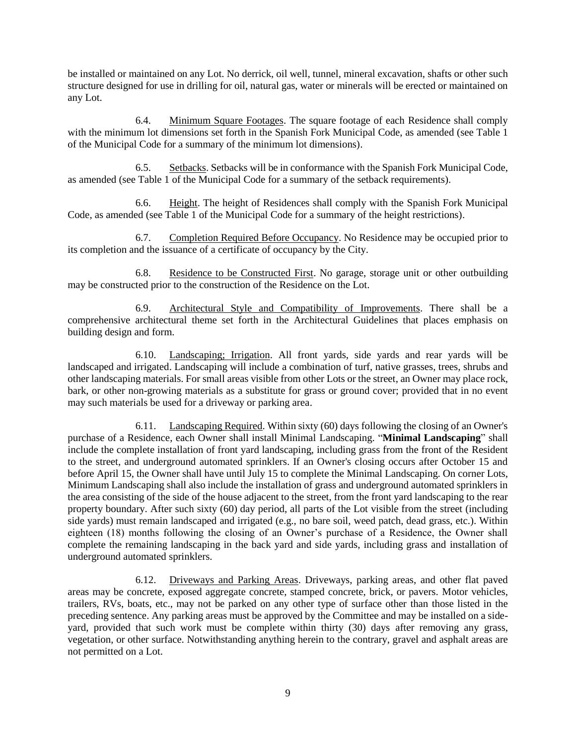be installed or maintained on any Lot. No derrick, oil well, tunnel, mineral excavation, shafts or other such structure designed for use in drilling for oil, natural gas, water or minerals will be erected or maintained on any Lot.

6.4. Minimum Square Footages. The square footage of each Residence shall comply with the minimum lot dimensions set forth in the Spanish Fork Municipal Code, as amended (see Table 1 of the Municipal Code for a summary of the minimum lot dimensions).

6.5. Setbacks. Setbacks will be in conformance with the Spanish Fork Municipal Code, as amended (see Table 1 of the Municipal Code for a summary of the setback requirements).

6.6. Height. The height of Residences shall comply with the Spanish Fork Municipal Code, as amended (see Table 1 of the Municipal Code for a summary of the height restrictions).

6.7. Completion Required Before Occupancy. No Residence may be occupied prior to its completion and the issuance of a certificate of occupancy by the City.

6.8. Residence to be Constructed First. No garage, storage unit or other outbuilding may be constructed prior to the construction of the Residence on the Lot.

6.9. Architectural Style and Compatibility of Improvements. There shall be a comprehensive architectural theme set forth in the Architectural Guidelines that places emphasis on building design and form.

6.10. Landscaping; Irrigation. All front yards, side yards and rear yards will be landscaped and irrigated. Landscaping will include a combination of turf, native grasses, trees, shrubs and other landscaping materials. For small areas visible from other Lots or the street, an Owner may place rock, bark, or other non-growing materials as a substitute for grass or ground cover; provided that in no event may such materials be used for a driveway or parking area.

6.11. Landscaping Required. Within sixty (60) days following the closing of an Owner's purchase of a Residence, each Owner shall install Minimal Landscaping. "**Minimal Landscaping**" shall include the complete installation of front yard landscaping, including grass from the front of the Resident to the street, and underground automated sprinklers. If an Owner's closing occurs after October 15 and before April 15, the Owner shall have until July 15 to complete the Minimal Landscaping. On corner Lots, Minimum Landscaping shall also include the installation of grass and underground automated sprinklers in the area consisting of the side of the house adjacent to the street, from the front yard landscaping to the rear property boundary. After such sixty (60) day period, all parts of the Lot visible from the street (including side yards) must remain landscaped and irrigated (e.g., no bare soil, weed patch, dead grass, etc.). Within eighteen (18) months following the closing of an Owner's purchase of a Residence, the Owner shall complete the remaining landscaping in the back yard and side yards, including grass and installation of underground automated sprinklers.

6.12. Driveways and Parking Areas. Driveways, parking areas, and other flat paved areas may be concrete, exposed aggregate concrete, stamped concrete, brick, or pavers. Motor vehicles, trailers, RVs, boats, etc., may not be parked on any other type of surface other than those listed in the preceding sentence. Any parking areas must be approved by the Committee and may be installed on a sideyard, provided that such work must be complete within thirty (30) days after removing any grass, vegetation, or other surface. Notwithstanding anything herein to the contrary, gravel and asphalt areas are not permitted on a Lot.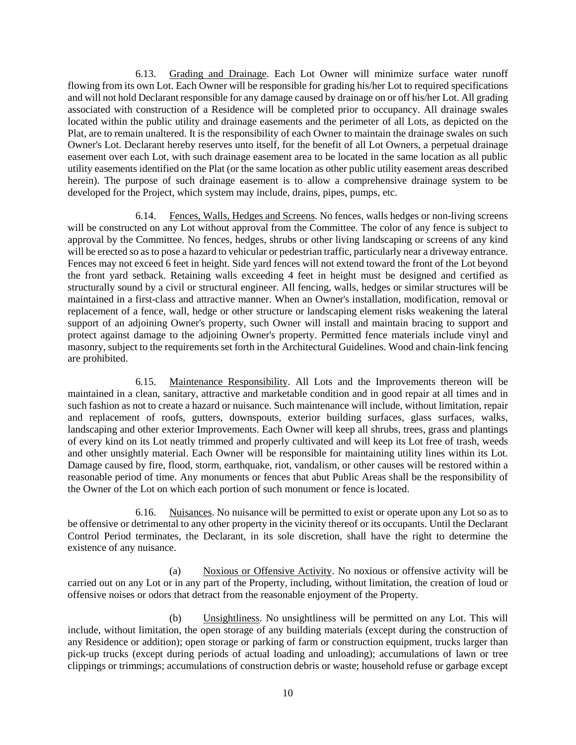6.13. Grading and Drainage. Each Lot Owner will minimize surface water runoff flowing from its own Lot. Each Owner will be responsible for grading his/her Lot to required specifications and will not hold Declarant responsible for any damage caused by drainage on or off his/her Lot. All grading associated with construction of a Residence will be completed prior to occupancy. All drainage swales located within the public utility and drainage easements and the perimeter of all Lots, as depicted on the Plat, are to remain unaltered. It is the responsibility of each Owner to maintain the drainage swales on such Owner's Lot. Declarant hereby reserves unto itself, for the benefit of all Lot Owners, a perpetual drainage easement over each Lot, with such drainage easement area to be located in the same location as all public utility easements identified on the Plat (or the same location as other public utility easement areas described herein). The purpose of such drainage easement is to allow a comprehensive drainage system to be developed for the Project, which system may include, drains, pipes, pumps, etc.

6.14. Fences, Walls, Hedges and Screens. No fences, walls hedges or non-living screens will be constructed on any Lot without approval from the Committee. The color of any fence is subject to approval by the Committee. No fences, hedges, shrubs or other living landscaping or screens of any kind will be erected so as to pose a hazard to vehicular or pedestrian traffic, particularly near a driveway entrance. Fences may not exceed 6 feet in height. Side yard fences will not extend toward the front of the Lot beyond the front yard setback. Retaining walls exceeding 4 feet in height must be designed and certified as structurally sound by a civil or structural engineer. All fencing, walls, hedges or similar structures will be maintained in a first-class and attractive manner. When an Owner's installation, modification, removal or replacement of a fence, wall, hedge or other structure or landscaping element risks weakening the lateral support of an adjoining Owner's property, such Owner will install and maintain bracing to support and protect against damage to the adjoining Owner's property. Permitted fence materials include vinyl and masonry, subject to the requirements set forth in the Architectural Guidelines. Wood and chain-link fencing are prohibited.

6.15. Maintenance Responsibility. All Lots and the Improvements thereon will be maintained in a clean, sanitary, attractive and marketable condition and in good repair at all times and in such fashion as not to create a hazard or nuisance. Such maintenance will include, without limitation, repair and replacement of roofs, gutters, downspouts, exterior building surfaces, glass surfaces, walks, landscaping and other exterior Improvements. Each Owner will keep all shrubs, trees, grass and plantings of every kind on its Lot neatly trimmed and properly cultivated and will keep its Lot free of trash, weeds and other unsightly material. Each Owner will be responsible for maintaining utility lines within its Lot. Damage caused by fire, flood, storm, earthquake, riot, vandalism, or other causes will be restored within a reasonable period of time. Any monuments or fences that abut Public Areas shall be the responsibility of the Owner of the Lot on which each portion of such monument or fence is located.

6.16. Nuisances. No nuisance will be permitted to exist or operate upon any Lot so as to be offensive or detrimental to any other property in the vicinity thereof or its occupants. Until the Declarant Control Period terminates, the Declarant, in its sole discretion, shall have the right to determine the existence of any nuisance.

(a) Noxious or Offensive Activity. No noxious or offensive activity will be carried out on any Lot or in any part of the Property, including, without limitation, the creation of loud or offensive noises or odors that detract from the reasonable enjoyment of the Property.

(b) Unsightliness. No unsightliness will be permitted on any Lot. This will include, without limitation, the open storage of any building materials (except during the construction of any Residence or addition); open storage or parking of farm or construction equipment, trucks larger than pick-up trucks (except during periods of actual loading and unloading); accumulations of lawn or tree clippings or trimmings; accumulations of construction debris or waste; household refuse or garbage except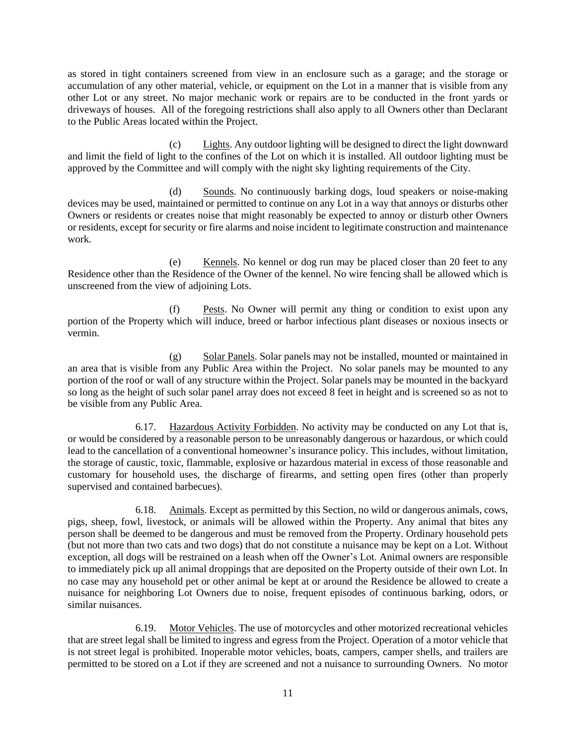as stored in tight containers screened from view in an enclosure such as a garage; and the storage or accumulation of any other material, vehicle, or equipment on the Lot in a manner that is visible from any other Lot or any street. No major mechanic work or repairs are to be conducted in the front yards or driveways of houses. All of the foregoing restrictions shall also apply to all Owners other than Declarant to the Public Areas located within the Project.

(c) Lights. Any outdoor lighting will be designed to direct the light downward and limit the field of light to the confines of the Lot on which it is installed. All outdoor lighting must be approved by the Committee and will comply with the night sky lighting requirements of the City.

(d) Sounds. No continuously barking dogs, loud speakers or noise-making devices may be used, maintained or permitted to continue on any Lot in a way that annoys or disturbs other Owners or residents or creates noise that might reasonably be expected to annoy or disturb other Owners or residents, except for security or fire alarms and noise incident to legitimate construction and maintenance work.

(e) Kennels. No kennel or dog run may be placed closer than 20 feet to any Residence other than the Residence of the Owner of the kennel. No wire fencing shall be allowed which is unscreened from the view of adjoining Lots.

(f) Pests. No Owner will permit any thing or condition to exist upon any portion of the Property which will induce, breed or harbor infectious plant diseases or noxious insects or vermin.

(g) Solar Panels. Solar panels may not be installed, mounted or maintained in an area that is visible from any Public Area within the Project. No solar panels may be mounted to any portion of the roof or wall of any structure within the Project. Solar panels may be mounted in the backyard so long as the height of such solar panel array does not exceed 8 feet in height and is screened so as not to be visible from any Public Area.

6.17. Hazardous Activity Forbidden. No activity may be conducted on any Lot that is, or would be considered by a reasonable person to be unreasonably dangerous or hazardous, or which could lead to the cancellation of a conventional homeowner's insurance policy. This includes, without limitation, the storage of caustic, toxic, flammable, explosive or hazardous material in excess of those reasonable and customary for household uses, the discharge of firearms, and setting open fires (other than properly supervised and contained barbecues).

6.18. Animals. Except as permitted by this Section, no wild or dangerous animals, cows, pigs, sheep, fowl, livestock, or animals will be allowed within the Property. Any animal that bites any person shall be deemed to be dangerous and must be removed from the Property. Ordinary household pets (but not more than two cats and two dogs) that do not constitute a nuisance may be kept on a Lot. Without exception, all dogs will be restrained on a leash when off the Owner's Lot. Animal owners are responsible to immediately pick up all animal droppings that are deposited on the Property outside of their own Lot. In no case may any household pet or other animal be kept at or around the Residence be allowed to create a nuisance for neighboring Lot Owners due to noise, frequent episodes of continuous barking, odors, or similar nuisances.

6.19. Motor Vehicles. The use of motorcycles and other motorized recreational vehicles that are street legal shall be limited to ingress and egress from the Project. Operation of a motor vehicle that is not street legal is prohibited. Inoperable motor vehicles, boats, campers, camper shells, and trailers are permitted to be stored on a Lot if they are screened and not a nuisance to surrounding Owners. No motor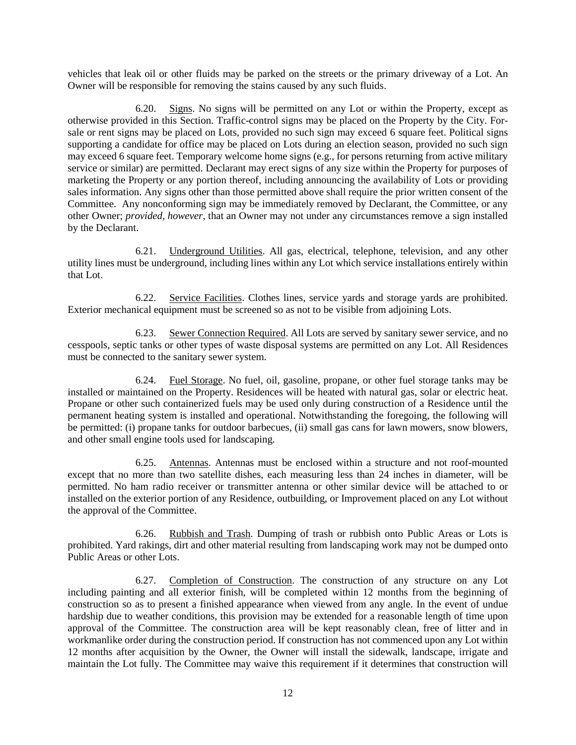vehicles that leak oil or other fluids may be parked on the streets or the primary driveway of a Lot. An Owner will be responsible for removing the stains caused by any such fluids.

6.20. Signs. No signs will be permitted on any Lot or within the Property, except as otherwise provided in this Section. Traffic-control signs may be placed on the Property by the City. Forsale or rent signs may be placed on Lots, provided no such sign may exceed 6 square feet. Political signs supporting a candidate for office may be placed on Lots during an election season, provided no such sign may exceed 6 square feet. Temporary welcome home signs (e.g., for persons returning from active military service or similar) are permitted. Declarant may erect signs of any size within the Property for purposes of marketing the Property or any portion thereof, including announcing the availability of Lots or providing sales information. Any signs other than those permitted above shall require the prior written consent of the Committee. Any nonconforming sign may be immediately removed by Declarant, the Committee, or any other Owner; *provided, however*, that an Owner may not under any circumstances remove a sign installed by the Declarant.

6.21. Underground Utilities. All gas, electrical, telephone, television, and any other utility lines must be underground, including lines within any Lot which service installations entirely within that Lot.

6.22. Service Facilities. Clothes lines, service yards and storage yards are prohibited. Exterior mechanical equipment must be screened so as not to be visible from adjoining Lots.

6.23. Sewer Connection Required. All Lots are served by sanitary sewer service, and no cesspools, septic tanks or other types of waste disposal systems are permitted on any Lot. All Residences must be connected to the sanitary sewer system.

6.24. Fuel Storage. No fuel, oil, gasoline, propane, or other fuel storage tanks may be installed or maintained on the Property. Residences will be heated with natural gas, solar or electric heat. Propane or other such containerized fuels may be used only during construction of a Residence until the permanent heating system is installed and operational. Notwithstanding the foregoing, the following will be permitted: (i) propane tanks for outdoor barbecues, (ii) small gas cans for lawn mowers, snow blowers, and other small engine tools used for landscaping.

6.25. Antennas. Antennas must be enclosed within a structure and not roof-mounted except that no more than two satellite dishes, each measuring less than 24 inches in diameter, will be permitted. No ham radio receiver or transmitter antenna or other similar device will be attached to or installed on the exterior portion of any Residence, outbuilding, or Improvement placed on any Lot without the approval of the Committee.

6.26. Rubbish and Trash. Dumping of trash or rubbish onto Public Areas or Lots is prohibited. Yard rakings, dirt and other material resulting from landscaping work may not be dumped onto Public Areas or other Lots.

6.27. Completion of Construction. The construction of any structure on any Lot including painting and all exterior finish, will be completed within 12 months from the beginning of construction so as to present a finished appearance when viewed from any angle. In the event of undue hardship due to weather conditions, this provision may be extended for a reasonable length of time upon approval of the Committee. The construction area will be kept reasonably clean, free of litter and in workmanlike order during the construction period. If construction has not commenced upon any Lot within 12 months after acquisition by the Owner, the Owner will install the sidewalk, landscape, irrigate and maintain the Lot fully. The Committee may waive this requirement if it determines that construction will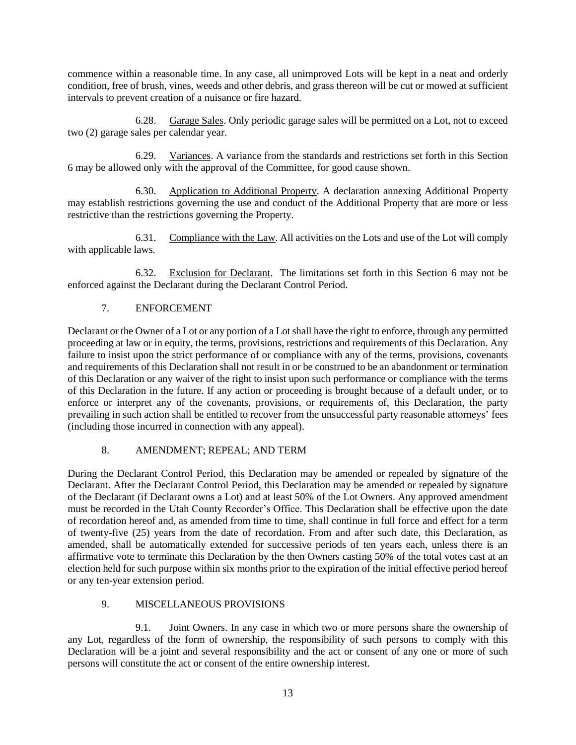commence within a reasonable time. In any case, all unimproved Lots will be kept in a neat and orderly condition, free of brush, vines, weeds and other debris, and grass thereon will be cut or mowed at sufficient intervals to prevent creation of a nuisance or fire hazard.

6.28. Garage Sales. Only periodic garage sales will be permitted on a Lot, not to exceed two (2) garage sales per calendar year.

6.29. Variances. A variance from the standards and restrictions set forth in this Section [6](#page-8-1) may be allowed only with the approval of the Committee, for good cause shown.

6.30. Application to Additional Property. A declaration annexing Additional Property may establish restrictions governing the use and conduct of the Additional Property that are more or less restrictive than the restrictions governing the Property.

6.31. Compliance with the Law. All activities on the Lots and use of the Lot will comply with applicable laws.

6.32. Exclusion for Declarant. The limitations set forth in this Section [6](#page-8-1) may not be enforced against the Declarant during the Declarant Control Period.

# 7. ENFORCEMENT

Declarant or the Owner of a Lot or any portion of a Lot shall have the right to enforce, through any permitted proceeding at law or in equity, the terms, provisions, restrictions and requirements of this Declaration. Any failure to insist upon the strict performance of or compliance with any of the terms, provisions, covenants and requirements of this Declaration shall not result in or be construed to be an abandonment or termination of this Declaration or any waiver of the right to insist upon such performance or compliance with the terms of this Declaration in the future. If any action or proceeding is brought because of a default under, or to enforce or interpret any of the covenants, provisions, or requirements of, this Declaration, the party prevailing in such action shall be entitled to recover from the unsuccessful party reasonable attorneys' fees (including those incurred in connection with any appeal).

# 8. AMENDMENT; REPEAL; AND TERM

During the Declarant Control Period, this Declaration may be amended or repealed by signature of the Declarant. After the Declarant Control Period, this Declaration may be amended or repealed by signature of the Declarant (if Declarant owns a Lot) and at least 50% of the Lot Owners. Any approved amendment must be recorded in the Utah County Recorder's Office. This Declaration shall be effective upon the date of recordation hereof and, as amended from time to time, shall continue in full force and effect for a term of twenty-five (25) years from the date of recordation. From and after such date, this Declaration, as amended, shall be automatically extended for successive periods of ten years each, unless there is an affirmative vote to terminate this Declaration by the then Owners casting 50% of the total votes cast at an election held for such purpose within six months prior to the expiration of the initial effective period hereof or any ten-year extension period.

### 9. MISCELLANEOUS PROVISIONS

9.1. Joint Owners. In any case in which two or more persons share the ownership of any Lot, regardless of the form of ownership, the responsibility of such persons to comply with this Declaration will be a joint and several responsibility and the act or consent of any one or more of such persons will constitute the act or consent of the entire ownership interest.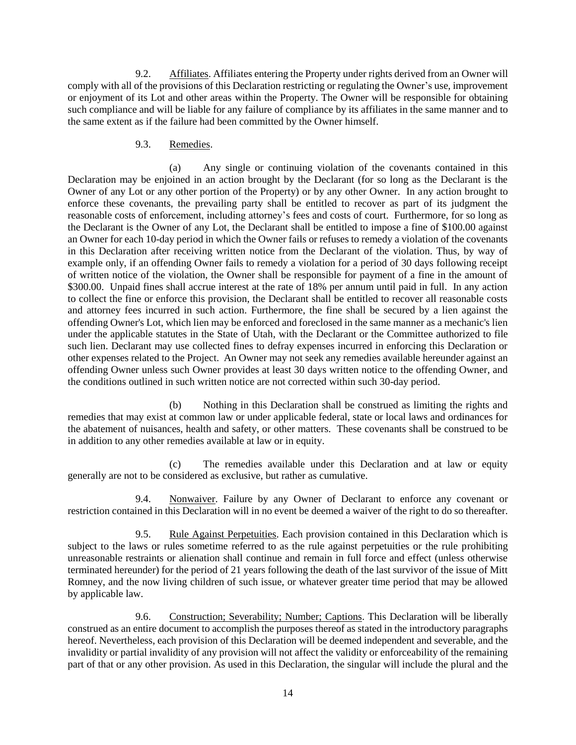9.2. Affiliates. Affiliates entering the Property under rights derived from an Owner will comply with all of the provisions of this Declaration restricting or regulating the Owner's use, improvement or enjoyment of its Lot and other areas within the Property. The Owner will be responsible for obtaining such compliance and will be liable for any failure of compliance by its affiliates in the same manner and to the same extent as if the failure had been committed by the Owner himself.

### 9.3. Remedies.

(a) Any single or continuing violation of the covenants contained in this Declaration may be enjoined in an action brought by the Declarant (for so long as the Declarant is the Owner of any Lot or any other portion of the Property) or by any other Owner. In any action brought to enforce these covenants, the prevailing party shall be entitled to recover as part of its judgment the reasonable costs of enforcement, including attorney's fees and costs of court. Furthermore, for so long as the Declarant is the Owner of any Lot, the Declarant shall be entitled to impose a fine of \$100.00 against an Owner for each 10-day period in which the Owner fails or refuses to remedy a violation of the covenants in this Declaration after receiving written notice from the Declarant of the violation. Thus, by way of example only, if an offending Owner fails to remedy a violation for a period of 30 days following receipt of written notice of the violation, the Owner shall be responsible for payment of a fine in the amount of \$300.00. Unpaid fines shall accrue interest at the rate of 18% per annum until paid in full. In any action to collect the fine or enforce this provision, the Declarant shall be entitled to recover all reasonable costs and attorney fees incurred in such action. Furthermore, the fine shall be secured by a lien against the offending Owner's Lot, which lien may be enforced and foreclosed in the same manner as a mechanic's lien under the applicable statutes in the State of Utah, with the Declarant or the Committee authorized to file such lien. Declarant may use collected fines to defray expenses incurred in enforcing this Declaration or other expenses related to the Project. An Owner may not seek any remedies available hereunder against an offending Owner unless such Owner provides at least 30 days written notice to the offending Owner, and the conditions outlined in such written notice are not corrected within such 30-day period.

(b) Nothing in this Declaration shall be construed as limiting the rights and remedies that may exist at common law or under applicable federal, state or local laws and ordinances for the abatement of nuisances, health and safety, or other matters. These covenants shall be construed to be in addition to any other remedies available at law or in equity.

(c) The remedies available under this Declaration and at law or equity generally are not to be considered as exclusive, but rather as cumulative.

9.4. Nonwaiver. Failure by any Owner of Declarant to enforce any covenant or restriction contained in this Declaration will in no event be deemed a waiver of the right to do so thereafter.

9.5. Rule Against Perpetuities. Each provision contained in this Declaration which is subject to the laws or rules sometime referred to as the rule against perpetuities or the rule prohibiting unreasonable restraints or alienation shall continue and remain in full force and effect (unless otherwise terminated hereunder) for the period of 21 years following the death of the last survivor of the issue of Mitt Romney, and the now living children of such issue, or whatever greater time period that may be allowed by applicable law.

9.6. Construction; Severability; Number; Captions. This Declaration will be liberally construed as an entire document to accomplish the purposes thereof as stated in the introductory paragraphs hereof. Nevertheless, each provision of this Declaration will be deemed independent and severable, and the invalidity or partial invalidity of any provision will not affect the validity or enforceability of the remaining part of that or any other provision. As used in this Declaration, the singular will include the plural and the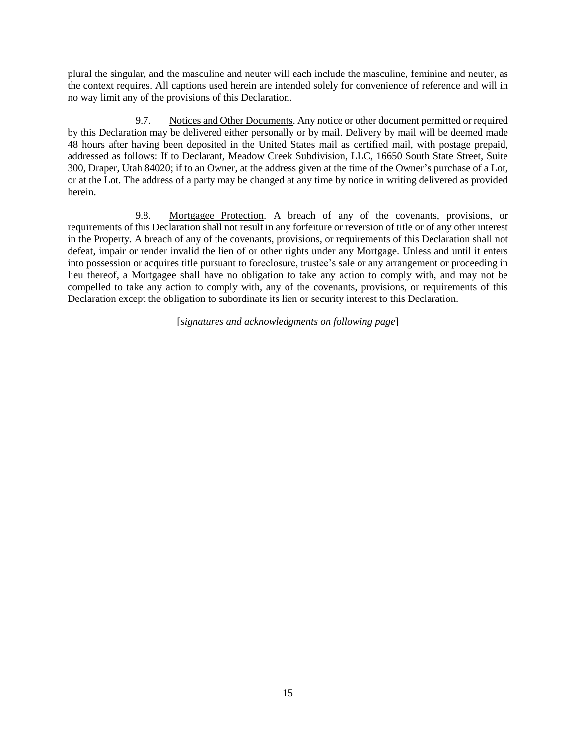plural the singular, and the masculine and neuter will each include the masculine, feminine and neuter, as the context requires. All captions used herein are intended solely for convenience of reference and will in no way limit any of the provisions of this Declaration.

9.7. Notices and Other Documents. Any notice or other document permitted or required by this Declaration may be delivered either personally or by mail. Delivery by mail will be deemed made 48 hours after having been deposited in the United States mail as certified mail, with postage prepaid, addressed as follows: If to Declarant, Meadow Creek Subdivision, LLC, 16650 South State Street, Suite 300, Draper, Utah 84020; if to an Owner, at the address given at the time of the Owner's purchase of a Lot, or at the Lot. The address of a party may be changed at any time by notice in writing delivered as provided herein.

9.8. Mortgagee Protection. A breach of any of the covenants, provisions, or requirements of this Declaration shall not result in any forfeiture or reversion of title or of any other interest in the Property. A breach of any of the covenants, provisions, or requirements of this Declaration shall not defeat, impair or render invalid the lien of or other rights under any Mortgage. Unless and until it enters into possession or acquires title pursuant to foreclosure, trustee's sale or any arrangement or proceeding in lieu thereof, a Mortgagee shall have no obligation to take any action to comply with, and may not be compelled to take any action to comply with, any of the covenants, provisions, or requirements of this Declaration except the obligation to subordinate its lien or security interest to this Declaration.

[*signatures and acknowledgments on following page*]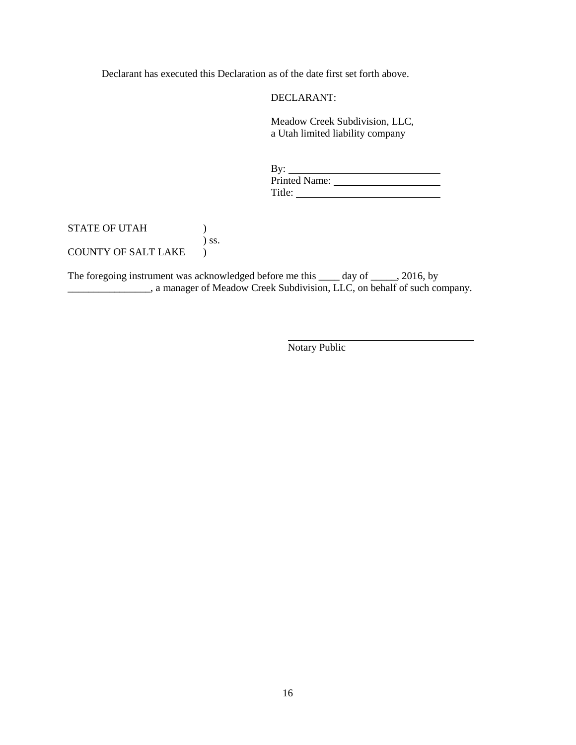Declarant has executed this Declaration as of the date first set forth above.

DECLARANT:

Meadow Creek Subdivision, LLC, a Utah limited liability company

| $\rm\,By:$    |  |
|---------------|--|
| Printed Name: |  |
| Title:        |  |

### STATE OF UTAH ( ) ) ss. COUNTY OF SALT LAKE )

The foregoing instrument was acknowledged before me this \_\_\_\_ day of \_\_\_\_\_, 2016, by a manager of Meadow Creek Subdivision, LLC, on behalf of such company.

Notary Public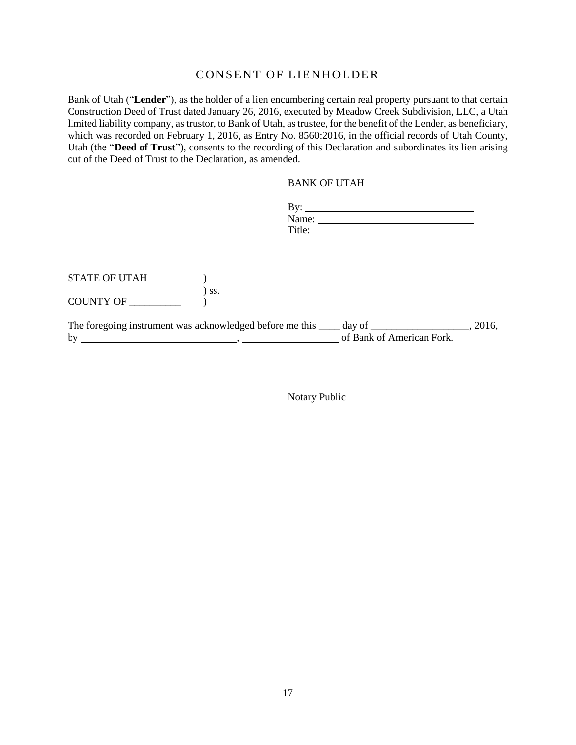# CONSENT OF LIENHOLDER

Bank of Utah ("**Lender**"), as the holder of a lien encumbering certain real property pursuant to that certain Construction Deed of Trust dated January 26, 2016, executed by Meadow Creek Subdivision, LLC, a Utah limited liability company, as trustor, to Bank of Utah, as trustee, for the benefit of the Lender, as beneficiary, which was recorded on February 1, 2016, as Entry No. 8560:2016, in the official records of Utah County, Utah (the "**Deed of Trust**"), consents to the recording of this Declaration and subordinates its lien arising out of the Deed of Trust to the Declaration, as amended.

BANK OF UTAH

|                      |         | By:                                                                                                                                                                                                                                                                                                                                                                                                           |       |
|----------------------|---------|---------------------------------------------------------------------------------------------------------------------------------------------------------------------------------------------------------------------------------------------------------------------------------------------------------------------------------------------------------------------------------------------------------------|-------|
|                      |         | Name: $\frac{1}{\sqrt{1-\frac{1}{2}}\sqrt{1-\frac{1}{2}}\sqrt{1-\frac{1}{2}}\sqrt{1-\frac{1}{2}}\sqrt{1-\frac{1}{2}}\sqrt{1-\frac{1}{2}}\sqrt{1-\frac{1}{2}}\sqrt{1-\frac{1}{2}}\sqrt{1-\frac{1}{2}}\sqrt{1-\frac{1}{2}}\sqrt{1-\frac{1}{2}}\sqrt{1-\frac{1}{2}}\sqrt{1-\frac{1}{2}}\sqrt{1-\frac{1}{2}}\sqrt{1-\frac{1}{2}}\sqrt{1-\frac{1}{2}}\sqrt{1-\frac{1}{2}}\sqrt{1-\frac{1}{2}}\sqrt{1-\frac{1}{2}}$ |       |
|                      |         | Title:                                                                                                                                                                                                                                                                                                                                                                                                        |       |
|                      |         |                                                                                                                                                                                                                                                                                                                                                                                                               |       |
|                      |         |                                                                                                                                                                                                                                                                                                                                                                                                               |       |
| <b>STATE OF UTAH</b> |         |                                                                                                                                                                                                                                                                                                                                                                                                               |       |
|                      | $)$ SS. |                                                                                                                                                                                                                                                                                                                                                                                                               |       |
| COUNTY OF            |         |                                                                                                                                                                                                                                                                                                                                                                                                               |       |
|                      |         |                                                                                                                                                                                                                                                                                                                                                                                                               | 2016, |
| by                   |         | of Bank of American Fork.                                                                                                                                                                                                                                                                                                                                                                                     |       |

Notary Public